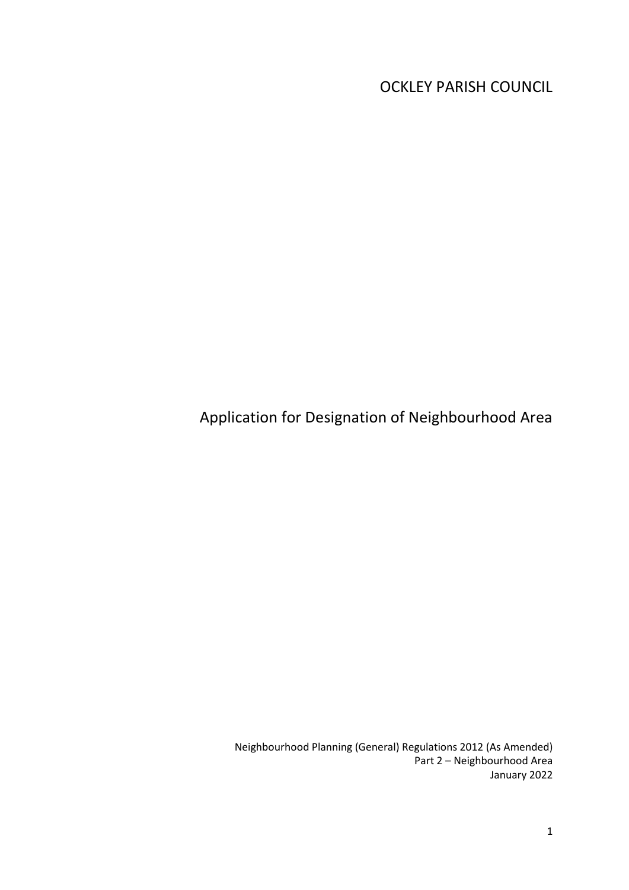OCKLEY PARISH COUNCIL

Application for Designation of Neighbourhood Area

Neighbourhood Planning (General) Regulations 2012 (As Amended) Part 2 – Neighbourhood Area January 2022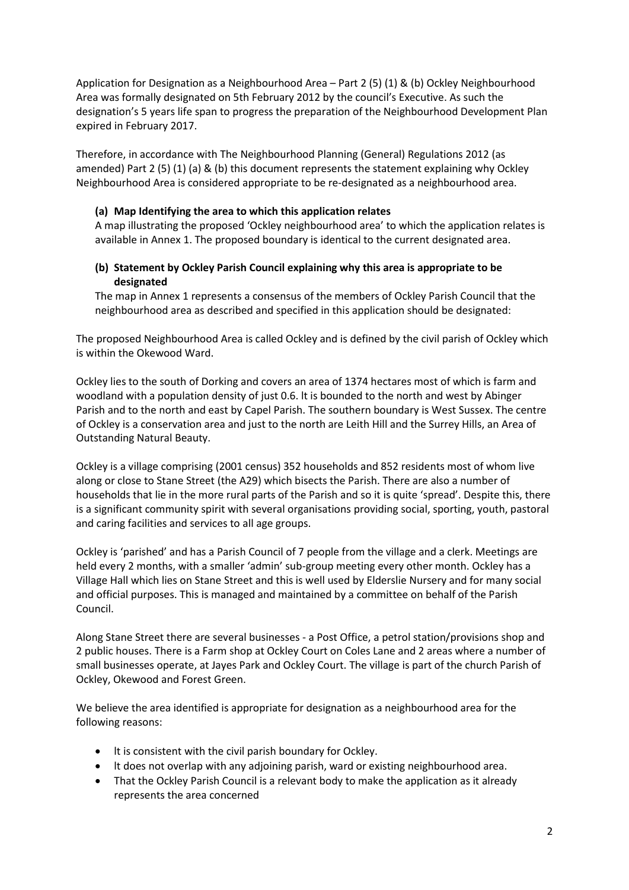Application for Designation as a Neighbourhood Area – Part 2 (5) (1) & (b) Ockley Neighbourhood Area was formally designated on 5th February 2012 by the council's Executive. As such the designation's 5 years life span to progress the preparation of the Neighbourhood Development Plan expired in February 2017.

Therefore, in accordance with The Neighbourhood Planning (General) Regulations 2012 (as amended) Part 2 (5) (1) (a) & (b) this document represents the statement explaining why Ockley Neighbourhood Area is considered appropriate to be re-designated as a neighbourhood area.

## **(a) Map Identifying the area to which this application relates**

A map illustrating the proposed 'Ockley neighbourhood area' to which the application relates is available in Annex 1. The proposed boundary is identical to the current designated area.

## **(b) Statement by Ockley Parish Council explaining why this area is appropriate to be designated**

The map in Annex 1 represents a consensus of the members of Ockley Parish Council that the neighbourhood area as described and specified in this application should be designated:

The proposed Neighbourhood Area is called Ockley and is defined by the civil parish of Ockley which is within the Okewood Ward.

Ockley lies to the south of Dorking and covers an area of 1374 hectares most of which is farm and woodland with a population density of just 0.6. lt is bounded to the north and west by Abinger Parish and to the north and east by Capel Parish. The southern boundary is West Sussex. The centre of Ockley is a conservation area and just to the north are Leith Hill and the Surrey Hills, an Area of Outstanding Natural Beauty.

Ockley is a village comprising (2001 census) 352 households and 852 residents most of whom live along or close to Stane Street (the A29) which bisects the Parish. There are also a number of households that lie in the more rural parts of the Parish and so it is quite 'spread'. Despite this, there is a significant community spirit with several organisations providing social, sporting, youth, pastoral and caring facilities and services to all age groups.

Ockley is 'parished' and has a Parish Council of 7 people from the village and a clerk. Meetings are held every 2 months, with a smaller 'admin' sub-group meeting every other month. Ockley has a Village Hall which lies on Stane Street and this is well used by Elderslie Nursery and for many social and official purposes. This is managed and maintained by a committee on behalf of the Parish Council.

Along Stane Street there are several businesses - a Post Office, a petrol station/provisions shop and 2 public houses. There is a Farm shop at Ockley Court on Coles Lane and 2 areas where a number of small businesses operate, at Jayes Park and Ockley Court. The village is part of the church Parish of Ockley, Okewood and Forest Green.

We believe the area identified is appropriate for designation as a neighbourhood area for the following reasons:

- lt is consistent with the civil parish boundary for Ockley.
- lt does not overlap with any adjoining parish, ward or existing neighbourhood area.
- That the Ockley Parish Council is a relevant body to make the application as it already represents the area concerned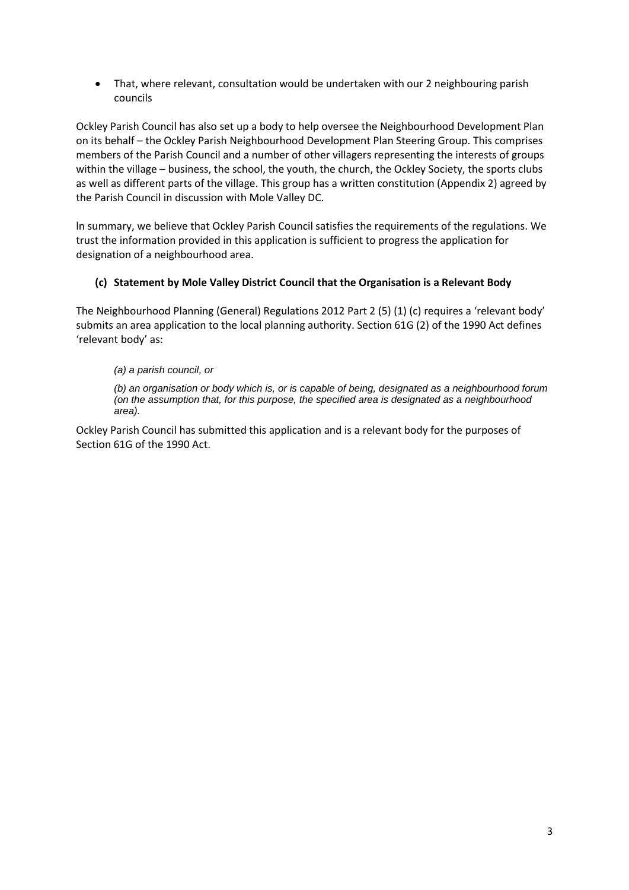That, where relevant, consultation would be undertaken with our 2 neighbouring parish councils

Ockley Parish Council has also set up a body to help oversee the Neighbourhood Development Plan on its behalf – the Ockley Parish Neighbourhood Development Plan Steering Group. This comprises members of the Parish Council and a number of other villagers representing the interests of groups within the village – business, the school, the youth, the church, the Ockley Society, the sports clubs as well as different parts of the village. This group has a written constitution (Appendix 2) agreed by the Parish Council in discussion with Mole Valley DC.

ln summary, we believe that Ockley Parish Council satisfies the requirements of the regulations. We trust the information provided in this application is sufficient to progress the application for designation of a neighbourhood area.

## **(c) Statement by Mole Valley District Council that the Organisation is a Relevant Body**

The Neighbourhood Planning (General) Regulations 2012 Part 2 (5) (1) (c) requires a 'relevant body' submits an area application to the local planning authority. Section 61G (2) of the 1990 Act defines 'relevant body' as:

## *(a) a parish council, or*

*(b) an organisation or body which is, or is capable of being, designated as a neighbourhood forum (on the assumption that, for this purpose, the specified area is designated as a neighbourhood area).*

Ockley Parish Council has submitted this application and is a relevant body for the purposes of Section 61G of the 1990 Act.